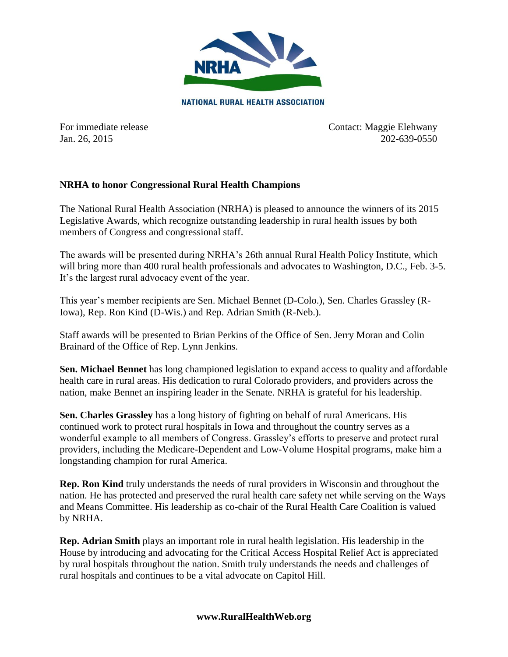

**NATIONAL RURAL HEALTH ASSOCIATION** 

For immediate release Contact: Maggie Elehwany Jan. 26, 2015 202-639-0550

## **NRHA to honor Congressional Rural Health Champions**

The National Rural Health Association (NRHA) is pleased to announce the winners of its 2015 Legislative Awards, which recognize outstanding leadership in rural health issues by both members of Congress and congressional staff.

The awards will be presented during NRHA's 26th annual Rural Health Policy Institute, which will bring more than 400 rural health professionals and advocates to Washington, D.C., Feb. 3-5. It's the largest rural advocacy event of the year.

This year's member recipients are Sen. Michael Bennet (D-Colo.), Sen. Charles Grassley (R-Iowa), Rep. Ron Kind (D-Wis.) and Rep. Adrian Smith (R-Neb.).

Staff awards will be presented to Brian Perkins of the Office of Sen. Jerry Moran and Colin Brainard of the Office of Rep. Lynn Jenkins.

**Sen. Michael Bennet** has long championed legislation to expand access to quality and affordable health care in rural areas. His dedication to rural Colorado providers, and providers across the nation, make Bennet an inspiring leader in the Senate. NRHA is grateful for his leadership.

**Sen. Charles Grassley** has a long history of fighting on behalf of rural Americans. His continued work to protect rural hospitals in Iowa and throughout the country serves as a wonderful example to all members of Congress. Grassley's efforts to preserve and protect rural providers, including the Medicare-Dependent and Low-Volume Hospital programs, make him a longstanding champion for rural America.

**Rep. Ron Kind** truly understands the needs of rural providers in Wisconsin and throughout the nation. He has protected and preserved the rural health care safety net while serving on the Ways and Means Committee. His leadership as co-chair of the Rural Health Care Coalition is valued by NRHA.

**Rep. Adrian Smith** plays an important role in rural health legislation. His leadership in the House by introducing and advocating for the Critical Access Hospital Relief Act is appreciated by rural hospitals throughout the nation. Smith truly understands the needs and challenges of rural hospitals and continues to be a vital advocate on Capitol Hill.